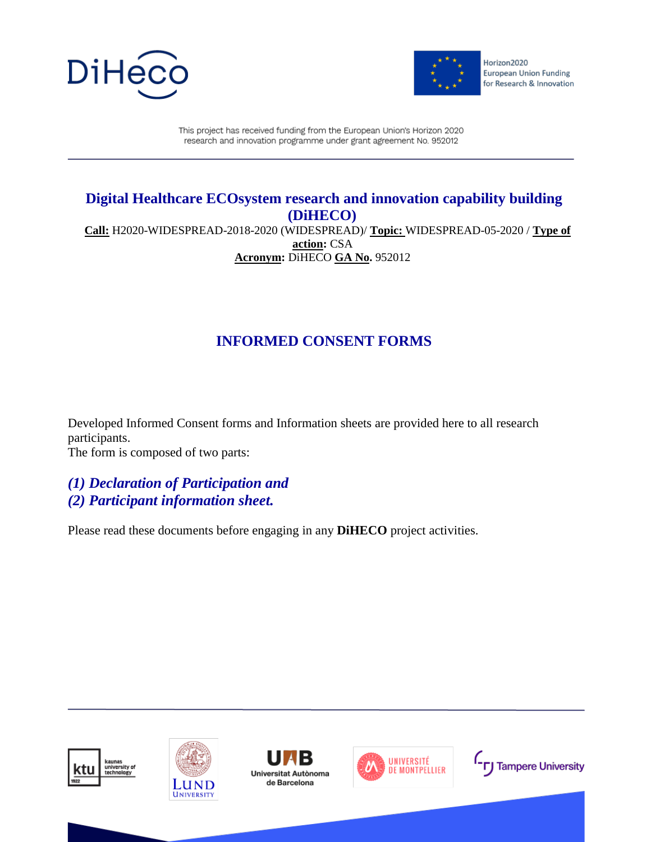



This project has received funding from the European Union's Horizon 2020 research and innovation programme under grant agreement No. 952012

### **Digital Healthcare ECOsystem research and innovation capability building (DiHECO)**

**Call:** H2020-WIDESPREAD-2018-2020 (WIDESPREAD)/ **Topic:** WIDESPREAD-05-2020 / **Type of action:** CSA **Acronym:** DiHECO **GA No.** 952012

# **INFORMED CONSENT FORMS**

Developed Informed Consent forms and Information sheets are provided here to all research participants. The form is composed of two parts:

*(1) Declaration of Participation and (2) Participant information sheet.*

Please read these documents before engaging in any **DiHECO** project activities.





Universitat Autònoma de Barcelona



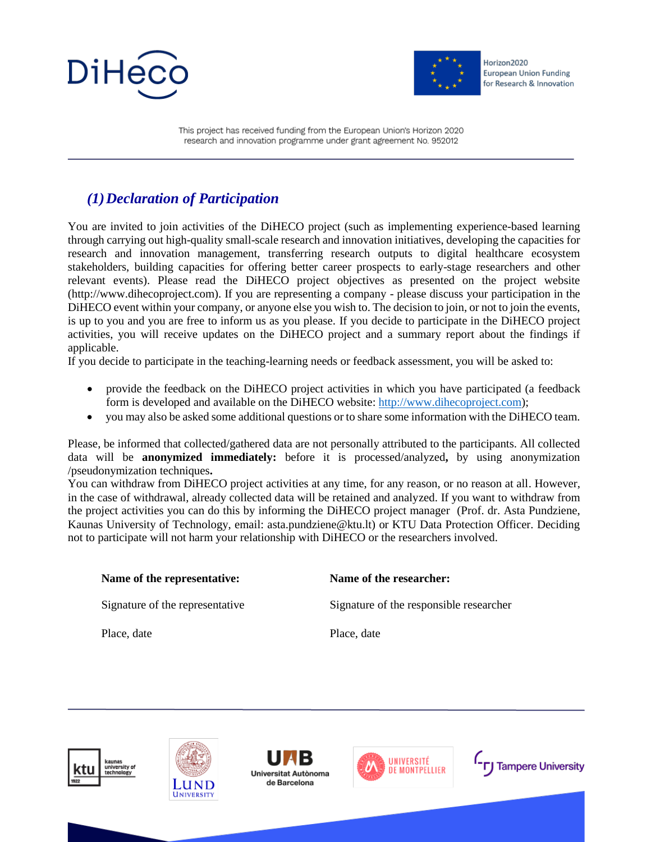



This project has received funding from the European Union's Horizon 2020 research and innovation programme under grant agreement No. 952012

## *(1)Declaration of Participation*

You are invited to join activities of the DiHECO project (such as implementing experience-based learning through carrying out high-quality small-scale research and innovation initiatives, developing the capacities for research and innovation management, transferring research outputs to digital healthcare ecosystem stakeholders, building capacities for offering better career prospects to early-stage researchers and other relevant events). Please read the DiHECO project objectives as presented on the project website (http://www.dihecoproject.com). If you are representing a company - please discuss your participation in the DiHECO event within your company, or anyone else you wish to. The decision to join, or not to join the events, is up to you and you are free to inform us as you please. If you decide to participate in the DiHECO project activities, you will receive updates on the DiHECO project and a summary report about the findings if applicable.

If you decide to participate in the teaching-learning needs or feedback assessment, you will be asked to:

- provide the feedback on the DiHECO project activities in which you have participated (a feedback form is developed and available on the DiHECO website: http://www.dihecoproject.com);
- you may also be asked some additional questions or to share some information with the DiHECO team.

Please, be informed that collected/gathered data are not personally attributed to the participants. All collected data will be **anonymized immediately:** before it is processed/analyzed**,** by using anonymization /pseudonymization techniques**.** 

You can withdraw from DiHECO project activities at any time, for any reason, or no reason at all. However, in the case of withdrawal, already collected data will be retained and analyzed. If you want to withdraw from the project activities you can do this by informing the DiHECO project manager (Prof. dr. Asta Pundziene, Kaunas University of Technology, email: asta.pundziene@ktu.lt) or KTU Data Protection Officer. Deciding not to participate will not harm your relationship with DiHECO or the researchers involved.

| Name of the representative:     | Name of the researcher:                 |
|---------------------------------|-----------------------------------------|
| Signature of the representative | Signature of the responsible researcher |
| Place, date                     | Place, date                             |





Universitat Autònoma de Barcelona



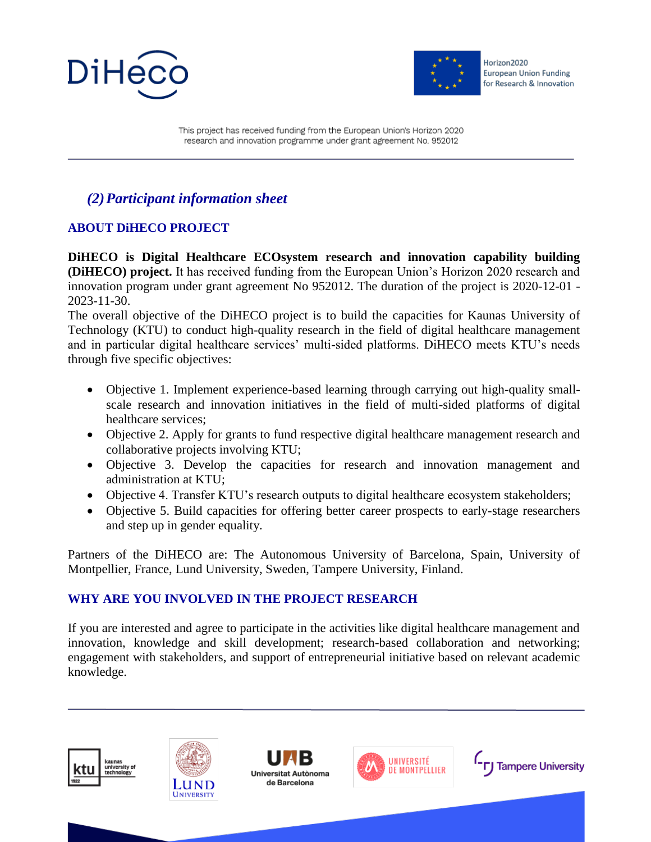



This project has received funding from the European Union's Horizon 2020 research and innovation programme under grant agreement No. 952012

# *(2)Participant information sheet*

#### **ABOUT DiHECO PROJECT**

**DiHECO is Digital Healthcare ECOsystem research and innovation capability building (DiHECO) project.** It has received funding from the European Union's Horizon 2020 research and innovation program under grant agreement No 952012. The duration of the project is 2020-12-01 - 2023-11-30.

The overall objective of the DiHECO project is to build the capacities for Kaunas University of Technology (KTU) to conduct high-quality research in the field of digital healthcare management and in particular digital healthcare services' multi-sided platforms. DiHECO meets KTU's needs through five specific objectives:

- Objective 1. Implement experience-based learning through carrying out high-quality smallscale research and innovation initiatives in the field of multi-sided platforms of digital healthcare services;
- Objective 2. Apply for grants to fund respective digital healthcare management research and collaborative projects involving KTU;
- Objective 3. Develop the capacities for research and innovation management and administration at KTU;
- Objective 4. Transfer KTU's research outputs to digital healthcare ecosystem stakeholders;
- Objective 5. Build capacities for offering better career prospects to early-stage researchers and step up in gender equality.

Partners of the DiHECO are: The Autonomous University of Barcelona, Spain, University of Montpellier, France, Lund University, Sweden, Tampere University, Finland.

#### **WHY ARE YOU INVOLVED IN THE PROJECT RESEARCH**

If you are interested and agree to participate in the activities like digital healthcare management and innovation, knowledge and skill development; research-based collaboration and networking; engagement with stakeholders, and support of entrepreneurial initiative based on relevant academic knowledge.





Universitat Autònoma de Barcelona